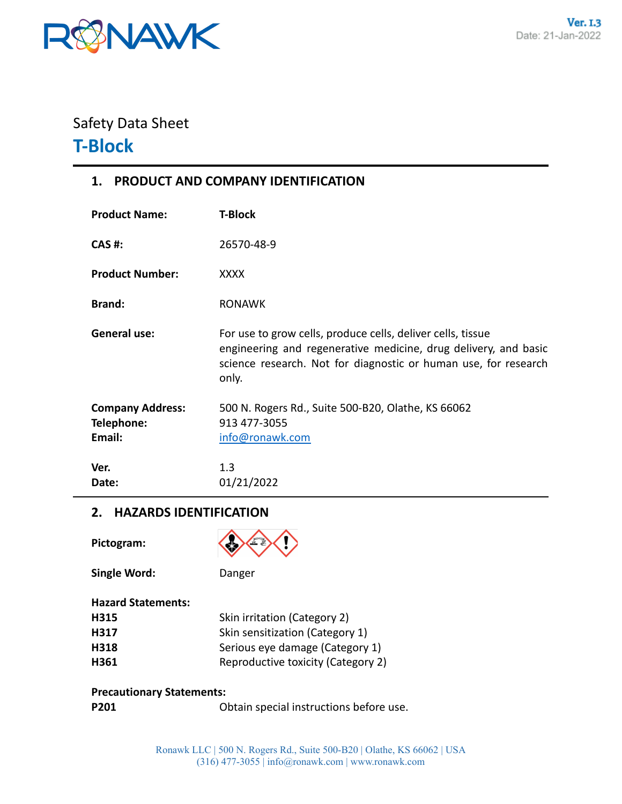

# Safety Data Sheet **T-Block**

# **1. PRODUCT AND COMPANY IDENTIFICATION**

| <b>Product Name:</b>                            | <b>T-Block</b>                                                                                                                                                                                             |
|-------------------------------------------------|------------------------------------------------------------------------------------------------------------------------------------------------------------------------------------------------------------|
| <b>CAS#:</b>                                    | 26570-48-9                                                                                                                                                                                                 |
| <b>Product Number:</b>                          | <b>XXXX</b>                                                                                                                                                                                                |
| <b>Brand:</b>                                   | <b>RONAWK</b>                                                                                                                                                                                              |
| <b>General use:</b>                             | For use to grow cells, produce cells, deliver cells, tissue<br>engineering and regenerative medicine, drug delivery, and basic<br>science research. Not for diagnostic or human use, for research<br>only. |
| <b>Company Address:</b><br>Telephone:<br>Email: | 500 N. Rogers Rd., Suite 500-B20, Olathe, KS 66062<br>913 477-3055<br>info@ronawk.com                                                                                                                      |
| Ver.<br>Date:                                   | 1.3<br>01/21/2022                                                                                                                                                                                          |

# **2. HAZARDS IDENTIFICATION**

**Single Word:** Danger

**Pictogram:**



| <b>Hazard Statements:</b> |                                    |
|---------------------------|------------------------------------|
| H315                      | Skin irritation (Category 2)       |
| H317                      | Skin sensitization (Category 1)    |
| H318                      | Serious eye damage (Category 1)    |
| H361                      | Reproductive toxicity (Category 2) |

#### **Precautionary Statements:**

| Obtain special instructions before use. |
|-----------------------------------------|
|                                         |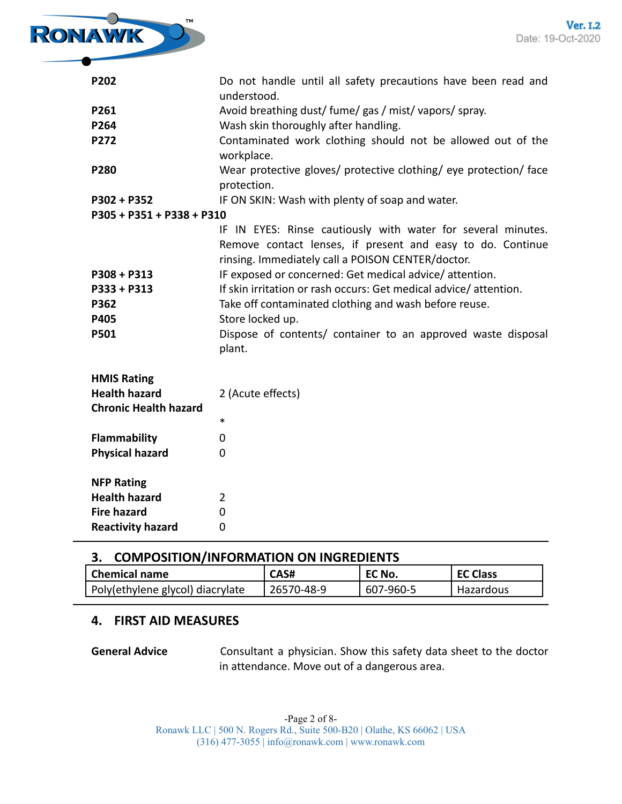

| P202                                                 | Do not handle until all safety precautions have been read and<br>understood.                                                                                                                                                                                                                                                                                                                                                                               |
|------------------------------------------------------|------------------------------------------------------------------------------------------------------------------------------------------------------------------------------------------------------------------------------------------------------------------------------------------------------------------------------------------------------------------------------------------------------------------------------------------------------------|
| P261                                                 | Avoid breathing dust/ fume/ gas / mist/ vapors/ spray.                                                                                                                                                                                                                                                                                                                                                                                                     |
| P264                                                 | Wash skin thoroughly after handling.                                                                                                                                                                                                                                                                                                                                                                                                                       |
| P272                                                 | Contaminated work clothing should not be allowed out of the<br>workplace.                                                                                                                                                                                                                                                                                                                                                                                  |
| P280                                                 | Wear protective gloves/ protective clothing/ eye protection/ face<br>protection.                                                                                                                                                                                                                                                                                                                                                                           |
| P302 + P352                                          | IF ON SKIN: Wash with plenty of soap and water.                                                                                                                                                                                                                                                                                                                                                                                                            |
| P305 + P351 + P338 + P310                            |                                                                                                                                                                                                                                                                                                                                                                                                                                                            |
| $P308 + P313$<br>P333 + P313<br>P362<br>P405<br>P501 | IF IN EYES: Rinse cautiously with water for several minutes.<br>Remove contact lenses, if present and easy to do. Continue<br>rinsing. Immediately call a POISON CENTER/doctor.<br>IF exposed or concerned: Get medical advice/attention.<br>If skin irritation or rash occurs: Get medical advice/attention.<br>Take off contaminated clothing and wash before reuse.<br>Store locked up.<br>Dispose of contents/ container to an approved waste disposal |
|                                                      | plant.                                                                                                                                                                                                                                                                                                                                                                                                                                                     |
| <b>HMIS Rating</b>                                   |                                                                                                                                                                                                                                                                                                                                                                                                                                                            |
| <b>Health hazard</b>                                 | 2 (Acute effects)                                                                                                                                                                                                                                                                                                                                                                                                                                          |
| <b>Chronic Health hazard</b>                         |                                                                                                                                                                                                                                                                                                                                                                                                                                                            |
|                                                      | $\ast$                                                                                                                                                                                                                                                                                                                                                                                                                                                     |
| <b>Flammability</b>                                  | 0                                                                                                                                                                                                                                                                                                                                                                                                                                                          |
| <b>Physical hazard</b>                               | $\Omega$                                                                                                                                                                                                                                                                                                                                                                                                                                                   |
| <b>NFP Rating</b>                                    |                                                                                                                                                                                                                                                                                                                                                                                                                                                            |
| <b>Health hazard</b>                                 | $\overline{2}$                                                                                                                                                                                                                                                                                                                                                                                                                                             |
| <b>Fire hazard</b>                                   | 0                                                                                                                                                                                                                                                                                                                                                                                                                                                          |
| <b>Reactivity hazard</b>                             | $\overline{0}$                                                                                                                                                                                                                                                                                                                                                                                                                                             |

#### **3. COMPOSITION/INFORMATION ON INGREDIENTS**

| l Chemical name                  | CAS#       | EC No.    | <b>EC Class</b> |
|----------------------------------|------------|-----------|-----------------|
| Poly(ethylene glycol) diacrylate | 26570-48-9 | 607-960-5 | Hazardous       |

# **4. FIRST AID MEASURES**

**General Advice** Consultant a physician. Show this safety data sheet to the doctor in attendance. Move out of a dangerous area.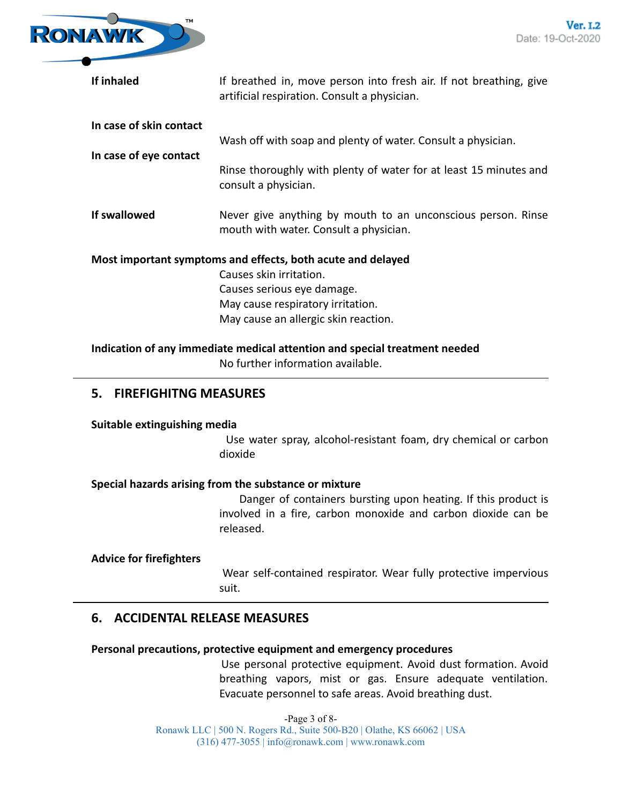

| If inhaled                                                                 | If breathed in, move person into fresh air. If not breathing, give<br>artificial respiration. Consult a physician. |  |
|----------------------------------------------------------------------------|--------------------------------------------------------------------------------------------------------------------|--|
| In case of skin contact                                                    |                                                                                                                    |  |
|                                                                            | Wash off with soap and plenty of water. Consult a physician.                                                       |  |
| In case of eye contact                                                     |                                                                                                                    |  |
|                                                                            | Rinse thoroughly with plenty of water for at least 15 minutes and<br>consult a physician.                          |  |
| If swallowed                                                               | Never give anything by mouth to an unconscious person. Rinse                                                       |  |
|                                                                            | mouth with water. Consult a physician.                                                                             |  |
| Most important symptoms and effects, both acute and delayed                |                                                                                                                    |  |
|                                                                            | Causes skin irritation.                                                                                            |  |
|                                                                            | Causes serious eye damage.                                                                                         |  |
|                                                                            | May cause respiratory irritation.                                                                                  |  |
|                                                                            | May cause an allergic skin reaction.                                                                               |  |
| Indication of any immediate medical attention and special treatment needed |                                                                                                                    |  |
|                                                                            | No further information available.                                                                                  |  |

# **5. FIREFIGHITNG MEASURES**

#### **Suitable extinguishing media**

Use water spray, alcohol-resistant foam, dry chemical or carbon dioxide

#### **Special hazards arising from the substance or mixture**

Danger of containers bursting upon heating. If this product is involved in a fire, carbon monoxide and carbon dioxide can be released.

#### **Advice for firefighters**

Wear self-contained respirator. Wear fully protective impervious suit.

# **6. ACCIDENTAL RELEASE MEASURES**

#### **Personal precautions, protective equipment and emergency procedures**

Use personal protective equipment. Avoid dust formation. Avoid breathing vapors, mist or gas. Ensure adequate ventilation. Evacuate personnel to safe areas. Avoid breathing dust.

-Page 3 of 8- Ronawk LLC | 500 N. Rogers Rd., Suite 500-B20 | Olathe, KS 66062 | USA (316) 477-3055 | info@ronawk.com | www.ronawk.com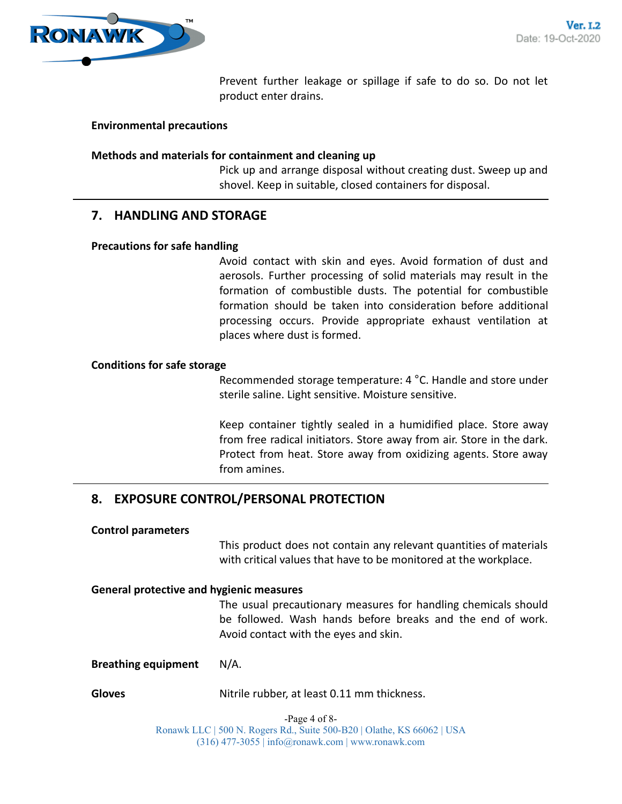

Prevent further leakage or spillage if safe to do so. Do not let product enter drains.

#### **Environmental precautions**

#### **Methods and materials for containment and cleaning up**

Pick up and arrange disposal without creating dust. Sweep up and shovel. Keep in suitable, closed containers for disposal.

# **7. HANDLING AND STORAGE**

#### **Precautions for safe handling**

Avoid contact with skin and eyes. Avoid formation of dust and aerosols. Further processing of solid materials may result in the formation of combustible dusts. The potential for combustible formation should be taken into consideration before additional processing occurs. Provide appropriate exhaust ventilation at places where dust is formed.

#### **Conditions for safe storage**

Recommended storage temperature: 4 °C. Handle and store under sterile saline. Light sensitive. Moisture sensitive.

Keep container tightly sealed in a humidified place. Store away from free radical initiators. Store away from air. Store in the dark. Protect from heat. Store away from oxidizing agents. Store away from amines.

# **8. EXPOSURE CONTROL/PERSONAL PROTECTION**

#### **Control parameters**

This product does not contain any relevant quantities of materials with critical values that have to be monitored at the workplace.

#### **General protective and hygienic measures**

The usual precautionary measures for handling chemicals should be followed. Wash hands before breaks and the end of work. Avoid contact with the eyes and skin.

**Breathing equipment** N/A.

Gloves **Gloves** Nitrile rubber, at least 0.11 mm thickness.

-Page 4 of 8- Ronawk LLC | 500 N. Rogers Rd., Suite 500-B20 | Olathe, KS 66062 | USA (316) 477-3055 | info@ronawk.com | www.ronawk.com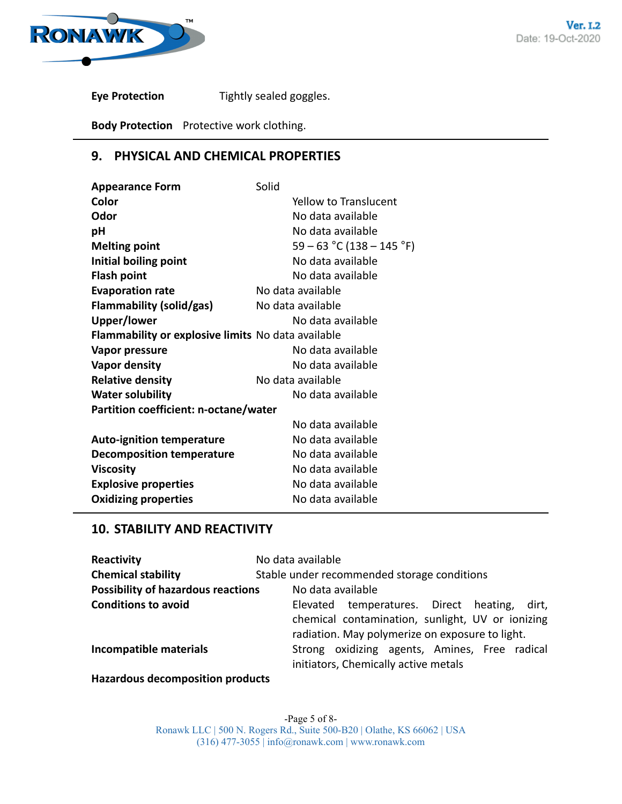

**Eye Protection** Tightly sealed goggles.

**Body Protection** Protective work clothing.

# **9. PHYSICAL AND CHEMICAL PROPERTIES**

| <b>Appearance Form</b>                             | Solid                       |  |
|----------------------------------------------------|-----------------------------|--|
| Color                                              | Yellow to Translucent       |  |
| Odor                                               | No data available           |  |
| pH                                                 | No data available           |  |
| <b>Melting point</b>                               | $59 - 63$ °C (138 – 145 °F) |  |
| Initial boiling point                              | No data available           |  |
| <b>Flash point</b>                                 | No data available           |  |
| <b>Evaporation rate</b>                            | No data available           |  |
| <b>Flammability (solid/gas)</b>                    | No data available           |  |
| Upper/lower                                        | No data available           |  |
| Flammability or explosive limits No data available |                             |  |
| Vapor pressure                                     | No data available           |  |
| <b>Vapor density</b>                               | No data available           |  |
| <b>Relative density</b>                            | No data available           |  |
| <b>Water solubility</b>                            | No data available           |  |
| Partition coefficient: n-octane/water              |                             |  |
|                                                    | No data available           |  |
| <b>Auto-ignition temperature</b>                   | No data available           |  |
| <b>Decomposition temperature</b>                   | No data available           |  |
| <b>Viscosity</b>                                   | No data available           |  |
| <b>Explosive properties</b>                        | No data available           |  |
| <b>Oxidizing properties</b>                        | No data available           |  |

# **10. STABILITY AND REACTIVITY**

| Reactivity                                | No data available                                                                                                                                      |
|-------------------------------------------|--------------------------------------------------------------------------------------------------------------------------------------------------------|
| <b>Chemical stability</b>                 | Stable under recommended storage conditions                                                                                                            |
| <b>Possibility of hazardous reactions</b> | No data available                                                                                                                                      |
| <b>Conditions to avoid</b>                | Elevated temperatures. Direct heating,<br>dirt.<br>chemical contamination, sunlight, UV or ionizing<br>radiation. May polymerize on exposure to light. |
| Incompatible materials                    | Strong oxidizing agents, Amines, Free radical<br>initiators, Chemically active metals                                                                  |
| <b>Hazardous decomposition products</b>   |                                                                                                                                                        |

-Page 5 of 8- Ronawk LLC | 500 N. Rogers Rd., Suite 500-B20 | Olathe, KS 66062 | USA (316) 477-3055 | info@ronawk.com | www.ronawk.com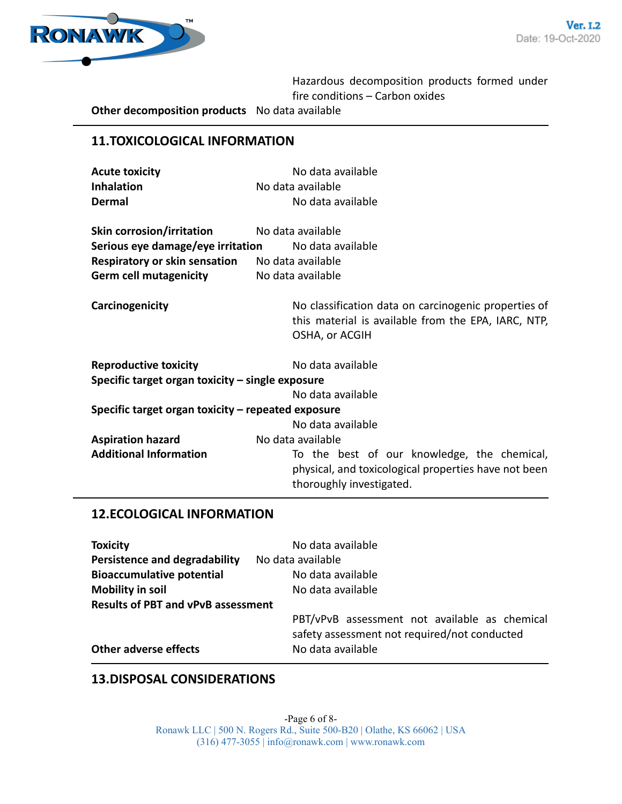

Hazardous decomposition products formed under fire conditions – Carbon oxides

**Other decomposition products** No data available

# **11.TOXICOLOGICAL INFORMATION**

| <b>Acute toxicity</b> | No data available |
|-----------------------|-------------------|
| <b>Inhalation</b>     | No data available |
| Dermal                | No data available |

| <b>Skin corrosion/irritation</b>     | No data available |
|--------------------------------------|-------------------|
| Serious eye damage/eye irritation    | No data available |
| <b>Respiratory or skin sensation</b> | No data available |
| <b>Germ cell mutagenicity</b>        | No data available |

**Carcinogenicity Carcinogenicity No classification data on carcinogenic properties of** this material is available from the EPA, IARC, NTP, OSHA, or ACGIH

| <b>Reproductive toxicity</b>                       | No data available                                    |
|----------------------------------------------------|------------------------------------------------------|
| Specific target organ toxicity - single exposure   |                                                      |
|                                                    | No data available                                    |
| Specific target organ toxicity – repeated exposure |                                                      |
|                                                    | No data available                                    |
| <b>Aspiration hazard</b>                           | No data available                                    |
| <b>Additional Information</b>                      | To the best of our knowledge, the chemical,          |
|                                                    | physical, and toxicological properties have not been |
|                                                    | thoroughly investigated.                             |

# **12.ECOLOGICAL INFORMATION**

| <b>Toxicity</b>                           | No data available                                                                             |
|-------------------------------------------|-----------------------------------------------------------------------------------------------|
| <b>Persistence and degradability</b>      | No data available                                                                             |
| <b>Bioaccumulative potential</b>          | No data available                                                                             |
| <b>Mobility in soil</b>                   | No data available                                                                             |
| <b>Results of PBT and vPvB assessment</b> |                                                                                               |
|                                           | PBT/vPvB assessment not available as chemical<br>safety assessment not required/not conducted |
| <b>Other adverse effects</b>              | No data available                                                                             |

#### **13.DISPOSAL CONSIDERATIONS**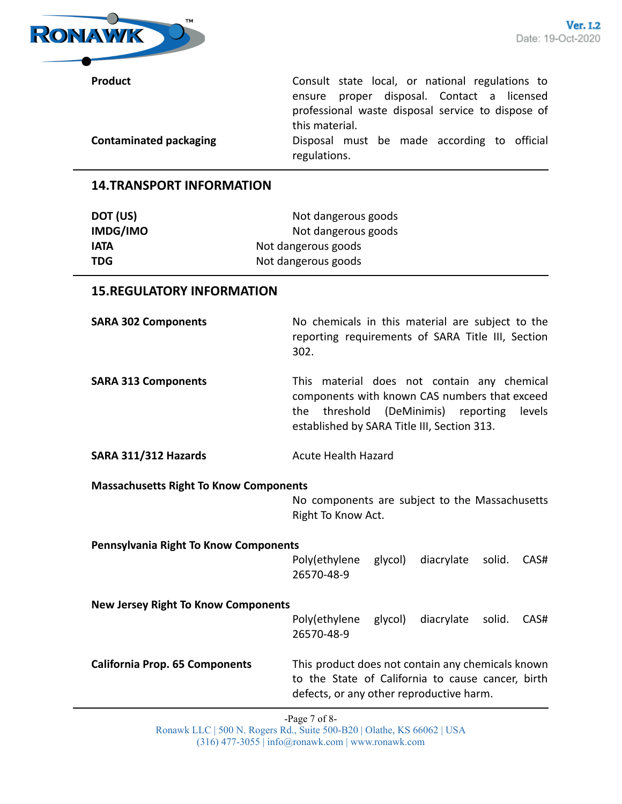

**Product Consult state local, or national regulations to** ensure proper disposal. Contact a licensed professional waste disposal service to dispose of this material.

**Contaminated packaging** Disposal must be made according to official regulations.

# **14.TRANSPORT INFORMATION**

| Not dangerous goods |
|---------------------|
| Not dangerous goods |
| Not dangerous goods |
| Not dangerous goods |
|                     |

### **15.REGULATORY INFORMATION**

**SARA 302 Components** No chemicals in this material are subject to the reporting requirements of SARA Title III, Section 302.

**SARA 313 Components** This material does not contain any chemical components with known CAS numbers that exceed the threshold (DeMinimis) reporting levels established by SARA Title III, Section 313.

#### **SARA 311/312 Hazards** Acute Health Hazard

**Massachusetts Right To Know Components**

No components are subject to the Massachusetts Right To Know Act.

**Pennsylvania Right To Know Components**

Poly(ethylene glycol) diacrylate solid. CAS# 26570-48-9

**New Jersey Right To Know Components**

Poly(ethylene glycol) diacrylate solid. CAS# 26570-48-9

**California Prop. 65 Components** This product does not contain any chemicals known to the State of California to cause cancer, birth defects, or any other reproductive harm.